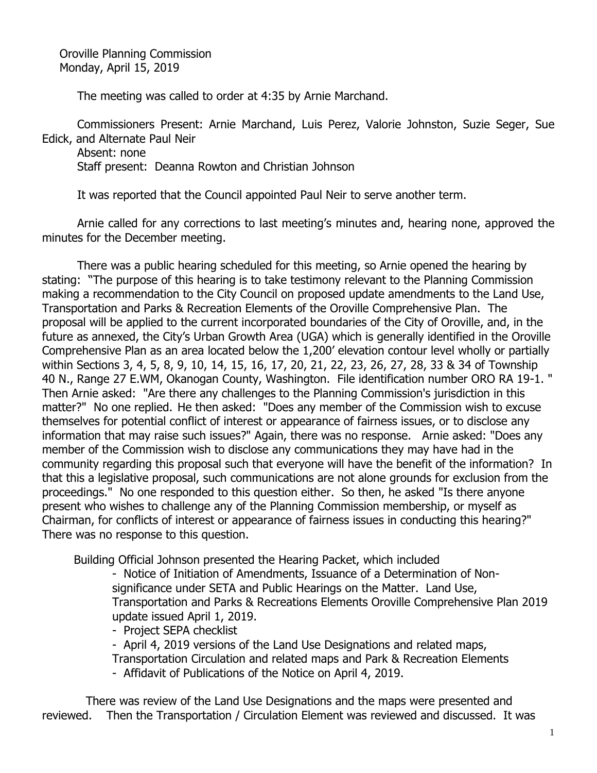Oroville Planning Commission Monday, April 15, 2019

The meeting was called to order at 4:35 by Arnie Marchand.

Commissioners Present: Arnie Marchand, Luis Perez, Valorie Johnston, Suzie Seger, Sue Edick, and Alternate Paul Neir

Absent: none Staff present: Deanna Rowton and Christian Johnson

It was reported that the Council appointed Paul Neir to serve another term.

Arnie called for any corrections to last meeting's minutes and, hearing none, approved the minutes for the December meeting.

There was a public hearing scheduled for this meeting, so Arnie opened the hearing by stating: "The purpose of this hearing is to take testimony relevant to the Planning Commission making a recommendation to the City Council on proposed update amendments to the Land Use, Transportation and Parks & Recreation Elements of the Oroville Comprehensive Plan. The proposal will be applied to the current incorporated boundaries of the City of Oroville, and, in the future as annexed, the City's Urban Growth Area (UGA) which is generally identified in the Oroville Comprehensive Plan as an area located below the 1,200' elevation contour level wholly or partially within Sections 3, 4, 5, 8, 9, 10, 14, 15, 16, 17, 20, 21, 22, 23, 26, 27, 28, 33 & 34 of Township 40 N., Range 27 E.WM, Okanogan County, Washington. File identification number ORO RA 19-1. " Then Arnie asked: "Are there any challenges to the Planning Commission's jurisdiction in this matter?" No one replied. He then asked: "Does any member of the Commission wish to excuse themselves for potential conflict of interest or appearance of fairness issues, or to disclose any information that may raise such issues?" Again, there was no response. Arnie asked: "Does any member of the Commission wish to disclose any communications they may have had in the community regarding this proposal such that everyone will have the benefit of the information? In that this a legislative proposal, such communications are not alone grounds for exclusion from the proceedings." No one responded to this question either. So then, he asked "Is there anyone present who wishes to challenge any of the Planning Commission membership, or myself as Chairman, for conflicts of interest or appearance of fairness issues in conducting this hearing?" There was no response to this question.

Building Official Johnson presented the Hearing Packet, which included

- Notice of Initiation of Amendments, Issuance of a Determination of Nonsignificance under SETA and Public Hearings on the Matter. Land Use, Transportation and Parks & Recreations Elements Oroville Comprehensive Plan 2019 update issued April 1, 2019.

- Project SEPA checklist

- April 4, 2019 versions of the Land Use Designations and related maps,

Transportation Circulation and related maps and Park & Recreation Elements

- Affidavit of Publications of the Notice on April 4, 2019.

 There was review of the Land Use Designations and the maps were presented and reviewed. Then the Transportation / Circulation Element was reviewed and discussed. It was